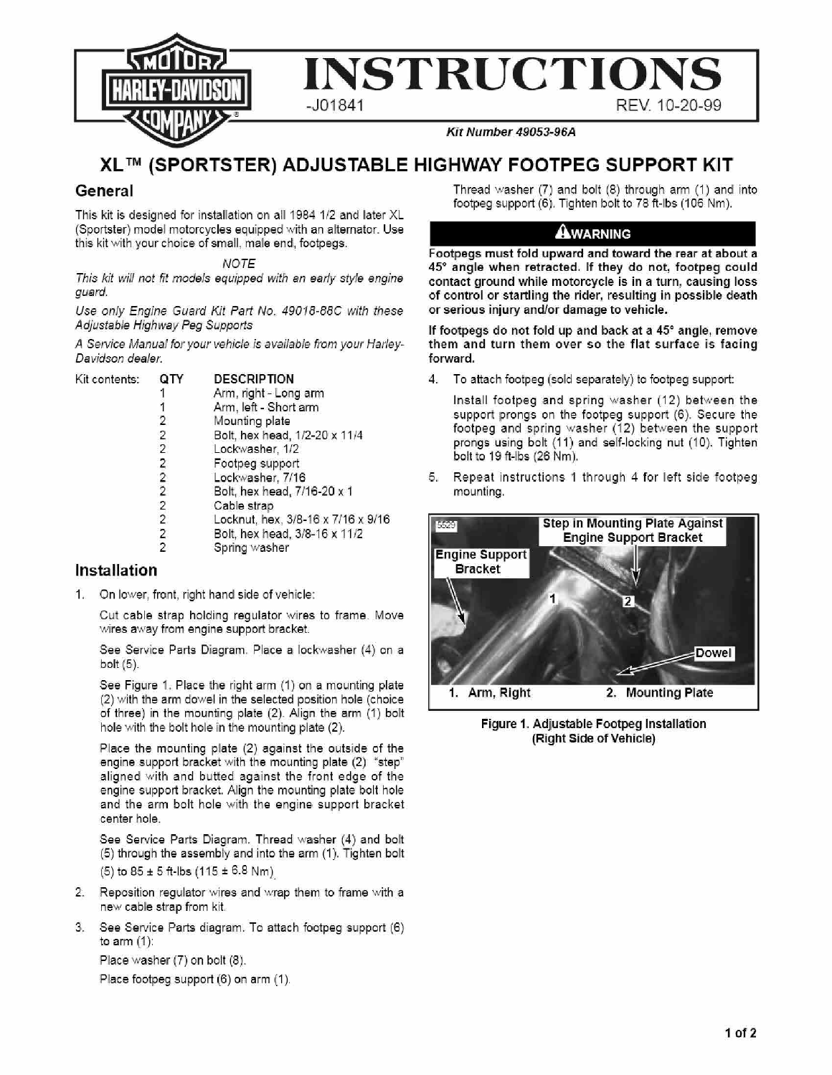

## **XLTM (SPORTSTER) ADJUSTABLE HIGHWAY FOOTPEG SUPPORT KIT**

## **General**

This kit is designed for installation on all 1984 1/2 and later XL (Sportster) model motorcycles equipped with an alternator. Use this kit with your choice of small, male end, footpegs.

**NOTE** 

This kit will not fit models equipped with an early style engine guard.

Use only Engine Guard Kit Part No. 49018-88C with these Adjustable Highway Peg Supports

A Service Manual for your vehicle is available from your Harley-Davidson deafer.

| Kit contents: |                | <b>DESCRIPTION</b>                 |
|---------------|----------------|------------------------------------|
|               |                | Arm, right - Long arm              |
|               |                | Arm, left - Short arm              |
|               | 2              | Mounting plate                     |
|               | 2              | Bolt, hex head, 1/2-20 x 11/4      |
|               | $\overline{2}$ | Lockwasher, 1/2                    |
|               |                | Footpeg support                    |
|               | $\frac{2}{2}$  | Lockwasher, 7/16                   |
|               |                | Bolt, hex head, 7/16-20 x 1        |
|               | $\overline{2}$ | Cable strap                        |
|               | $\overline{2}$ | Locknut, hex, 3/8-16 x 7/16 x 9/16 |
|               |                | Bolt, hex head, 3/8-16 x 11/2      |
|               | $\frac{2}{2}$  | Spring washer                      |

## **Installation**

1. On lower, front, right hand side of vehicle:

Cut cable strap holding regulator wires to frame. Move wires away from engine support bracket.

See Service Parts Diagram. Place a lockwasher (4) on a bolt (5).

See Figure 1. Place the right arm (1) on a mounting plate (2) with the arm dowel in the selected position hole (choice of three) in the mounting plate (2). Align the arm (1) bolt hole with the bolt hole in the mounting plate (2).

Place the mounting plate (2) against the outside of the engine support bracket with the mounting plate (2) "step" aligned with and butted against the front edge of the engine support bracket. Align the mounting plate bolt hole and the arm bolt hole with the engine support bracket center hole.

See Service Parts Diagram. Thread washer (4) and bolt (5) through the assembly and into the arm (1). Tighten bolt  $(5)$  to  $85 \pm 5$  ft-lbs  $(115 \pm 6.8$  Nm)

- 2. Reposition regulator wires and wrap them to frame with a new cable strap from kit
- 3. See Service Parts diagram. To attach footpeg support (6) to arm (1):

Place washer (7) on bolt (8).

Place footpeg support (6) on arm (1).

Thread washer (7) and bolt (8) through arm (1) and into footpeg support (6). Tighten bolt to 78 ft-lbs (106 Nm).

## AWARNING

Footpegs must fold upward and toward the rear at about a 45° angle when retracted. If they do not, footpeg could contact ground while motorcycle is in a turn, causing loss of control or startling the rider, resulting in possible death or serious injury and/or damage to vehicle.

If footpegs do not fold up and back at a 45° angle, remove them and turn them over so the flat surface is facing forward.

4. To attach footpeg (sold separately) to footpeg support:

Install footpeg and spring washer (12) between the support prongs on the footpeg support (6). Secure the footpeg and spring washer (12) between the support prongs using bolt (11) and self-locking nut (10). Tighten bolt to 19 ft-lbs (26 Nm),

5.. Repeat instructions 1 through 4 for left side footpeg mounting.



Figure 1, Adjustable Footpeg Installation (Right Side of Vehicle)